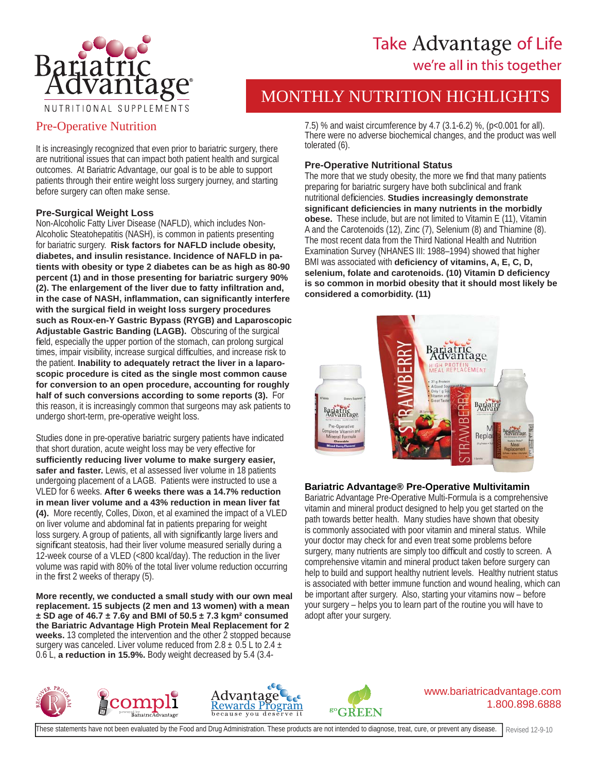

# Take Advantage of Life we're all in this together

# MONTHLY NUTRITION HIGHLIGHTS

## Pre-Operative Nutrition

It is increasingly recognized that even prior to bariatric surgery, there are nutritional issues that can impact both patient health and surgical outcomes. At Bariatric Advantage, our goal is to be able to support patients through their entire weight loss surgery journey, and starting before surgery can often make sense.

#### **Pre-Surgical Weight Loss**

Non-Alcoholic Fatty Liver Disease (NAFLD), which includes Non-Alcoholic Steatohepatitis (NASH), is common in patients presenting for bariatric surgery. **Risk factors for NAFLD include obesity, diabetes, and insulin resistance. Incidence of NAFLD in patients with obesity or type 2 diabetes can be as high as 80-90 percent (1) and in those presenting for bariatric surgery 90% (2). The enlargement of the liver due to fatty infi ltration and, in the case of NASH, infl ammation, can signifi cantly interfere with the surgical fi eld in weight loss surgery procedures such as Roux-en-Y Gastric Bypass (RYGB) and Laparoscopic Adjustable Gastric Banding (LAGB).** Obscuring of the surgical field, especially the upper portion of the stomach, can prolong surgical times, impair visibility, increase surgical difficulties, and increase risk to the patient. **Inability to adequately retract the liver in a laparoscopic procedure is cited as the single most common cause for conversion to an open procedure, accounting for roughly half of such conversions according to some reports (3).** For this reason, it is increasingly common that surgeons may ask patients to undergo short-term, pre-operative weight loss.

Studies done in pre-operative bariatric surgery patients have indicated that short duration, acute weight loss may be very effective for **suffi ciently reducing liver volume to make surgery easier,**  safer and faster. Lewis, et al assessed liver volume in 18 patients undergoing placement of a LAGB. Patients were instructed to use a VLED for 6 weeks. **After 6 weeks there was a 14.7% reduction in mean liver volume and a 43% reduction in mean liver fat (4).** More recently, Colles, Dixon, et al examined the impact of a VLED on liver volume and abdominal fat in patients preparing for weight loss surgery. A group of patients, all with significantly large livers and significant steatosis, had their liver volume measured serially during a 12-week course of a VLED (<800 kcal/day). The reduction in the liver volume was rapid with 80% of the total liver volume reduction occurring in the first 2 weeks of therapy  $(5)$ .

**More recently, we conducted a small study with our own meal replacement. 15 subjects (2 men and 13 women) with a mean ± SD age of 46.7 ± 7.6y and BMI of 50.5 ± 7.3 kgm² consumed the Bariatric Advantage High Protein Meal Replacement for 2 weeks.** 13 completed the intervention and the other 2 stopped because surgery was canceled. Liver volume reduced from  $2.8 \pm 0.5$  L to  $2.4 \pm 1.5$ 0.6 L, **a reduction in 15.9%.** Body weight decreased by 5.4 (3.47.5) % and waist circumference by 4.7 (3.1-6.2) %, (p<0.001 for all). There were no adverse biochemical changes, and the product was well tolerated (6).

### **Pre-Operative Nutritional Status**

The more that we study obesity, the more we find that many patients preparing for bariatric surgery have both subclinical and frank nutritional deficiencies. Studies increasingly demonstrate **signifi cant defi ciencies in many nutrients in the morbidly obese.** These include, but are not limited to Vitamin E (11), Vitamin A and the Carotenoids (12), Zinc (7), Selenium (8) and Thiamine (8). The most recent data from the Third National Health and Nutrition Examination Survey (NHANES III: 1988–1994) showed that higher BMI was associated with **deficiency of vitamins, A, E, C, D, selenium, folate and carotenoids. (10) Vitamin D defi ciency is so common in morbid obesity that it should most likely be considered a comorbidity. (11)**



### **Bariatric Advantage® Pre-Operative Multivitamin**

Bariatric Advantage Pre-Operative Multi-Formula is a comprehensive vitamin and mineral product designed to help you get started on the path towards better health. Many studies have shown that obesity is commonly associated with poor vitamin and mineral status. While your doctor may check for and even treat some problems before surgery, many nutrients are simply too difficult and costly to screen. A comprehensive vitamin and mineral product taken before surgery can help to build and support healthy nutrient levels. Healthy nutrient status is associated with better immune function and wound healing, which can be important after surgery. Also, starting your vitamins now – before your surgery – helps you to learn part of the routine you will have to adopt after your surgery.







#### www.bariatricadvantage.com 1.800.898.6888

These statements have not been evaluated by the Food and Drug Administration. These products are not intended to diagnose, treat, cure, or prevent any disease.